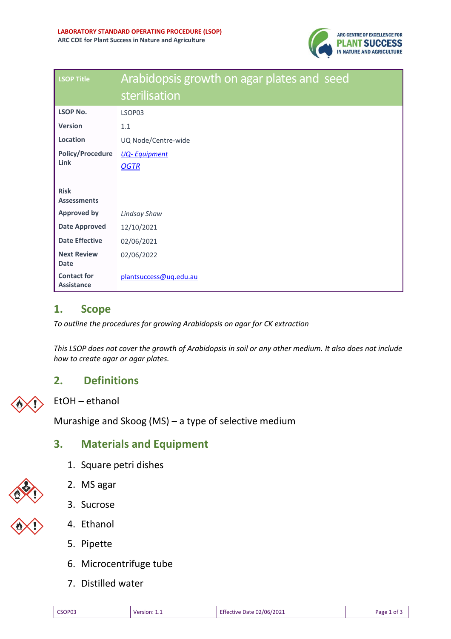

| <b>LSOP Title</b>                       | Arabidopsis growth on agar plates and seed<br>sterilisation |
|-----------------------------------------|-------------------------------------------------------------|
| <b>LSOP No.</b>                         | LSOP03                                                      |
| <b>Version</b>                          | 1.1                                                         |
| Location                                | UQ Node/Centre-wide                                         |
| <b>Policy/Procedure</b><br>Link         | <b>UQ-Equipment</b><br><b>OGTR</b>                          |
| <b>Risk</b><br><b>Assessments</b>       |                                                             |
| <b>Approved by</b>                      | Lindsay Shaw                                                |
| <b>Date Approved</b>                    | 12/10/2021                                                  |
| <b>Date Effective</b>                   | 02/06/2021                                                  |
| <b>Next Review</b><br><b>Date</b>       | 02/06/2022                                                  |
| <b>Contact for</b><br><b>Assistance</b> | plantsuccess@uq.edu.au                                      |

### **1. Scope**

*To outline the procedures for growing Arabidopsis on agar for CK extraction*

*This LSOP does not cover the growth of Arabidopsis in soil or any other medium. It also does not include how to create agar or agar plates.* 

# **2. Definitions**



EtOH – ethanol

Murashige and Skoog (MS) – a type of selective medium

# **3. Materials and Equipment**

- 1. Square petri dishes
- 2. MS agar
- 3. Sucrose



- 4. Ethanol
- 5. Pipette
- 6. Microcentrifuge tube
- 7. Distilled water

| ۰<br>×<br>٧ | ۰, | W<br>۰.<br>٧<br>× |  |
|-------------|----|-------------------|--|
|             |    |                   |  |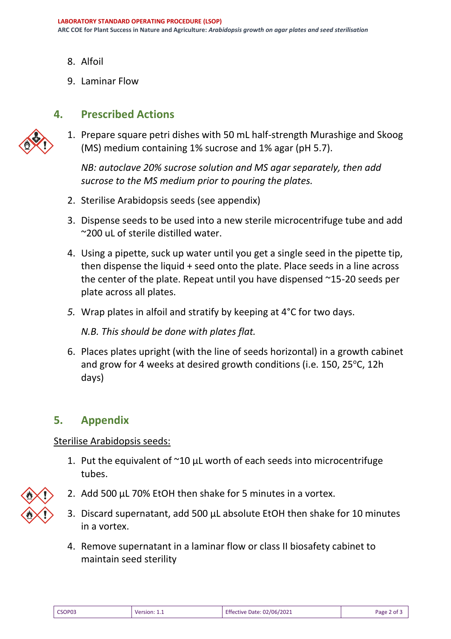- 8. Alfoil
- 9. Laminar Flow

### **4. Prescribed Actions**



1. Prepare square petri dishes with 50 mL half-strength Murashige and Skoog (MS) medium containing 1% sucrose and 1% agar (pH 5.7).

*NB: autoclave 20% sucrose solution and MS agar separately, then add sucrose to the MS medium prior to pouring the plates.*

- 2. Sterilise Arabidopsis seeds (see appendix)
- 3. Dispense seeds to be used into a new sterile microcentrifuge tube and add ~200 uL of sterile distilled water.
- 4. Using a pipette, suck up water until you get a single seed in the pipette tip, then dispense the liquid + seed onto the plate. Place seeds in a line across the center of the plate. Repeat until you have dispensed ~15-20 seeds per plate across all plates.
- *5.* Wrap plates in alfoil and stratify by keeping at 4°C for two days.

*N.B. This should be done with plates flat.* 

6. Places plates upright (with the line of seeds horizontal) in a growth cabinet and grow for 4 weeks at desired growth conditions (i.e. 150, 25 $\degree$ C, 12h days)

# **5. Appendix**

#### Sterilise Arabidopsis seeds:

- 1. Put the equivalent of  $\sim$ 10 µL worth of each seeds into microcentrifuge tubes.
- 2. Add 500 µL 70% EtOH then shake for 5 minutes in a vortex.
- 3. Discard supernatant, add 500 µL absolute EtOH then shake for 10 minutes in a vortex.
- 4. Remove supernatant in a laminar flow or class II biosafety cabinet to maintain seed sterility